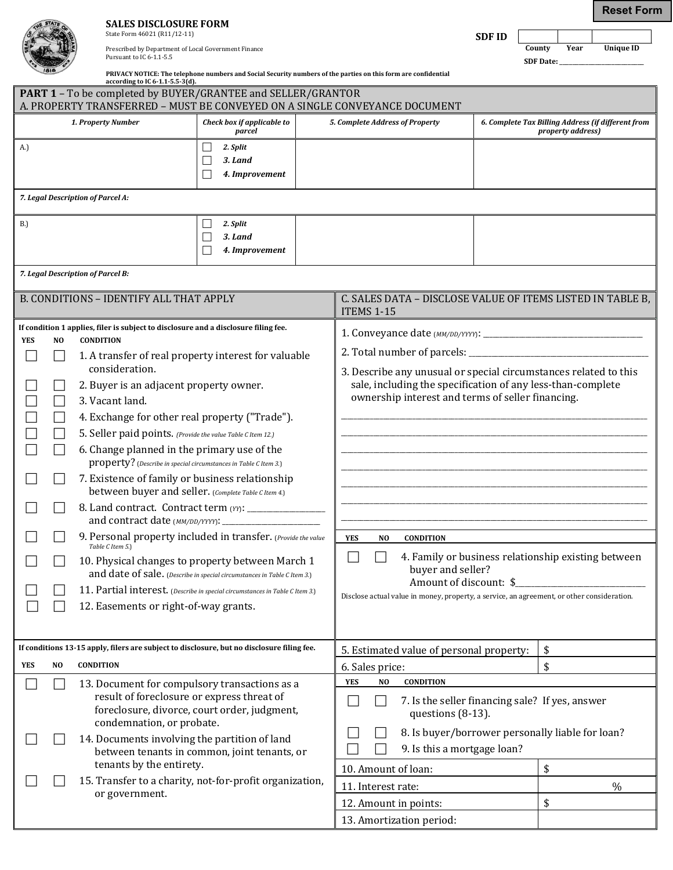| <b>SALES DISCLOSURE FORM</b> |
|------------------------------|
| State Form 46021 (R11/12-11) |

| State Form 46021 (R11/12-11)                         |
|------------------------------------------------------|
| Prescribed by Department of Local Government Finance |
| Pursuant to IC 6-1.1-5.5                             |

**SDF ID County** Year **County Year Unique ID**

**Reset Form**

| unty    | Y E |
|---------|-----|
| E Doto: |     |

**SDF Date:** \_\_\_\_\_\_\_\_\_\_\_\_\_\_\_\_\_\_\_\_\_\_\_\_\_\_

| $\sim$ | according to IC $6-1.1-5.5-3(d)$ .                                  | PRIVACY NOTICE: The telephone numbers and Social Security numbers of the parties on this form are confidential |  |
|--------|---------------------------------------------------------------------|----------------------------------------------------------------------------------------------------------------|--|
|        | <b>PART 1</b> – To be completed by BUYER/GRANTEE and SELLER/GRANTOR |                                                                                                                |  |
|        |                                                                     | A. PROPERTY TRANSFERRED – MUST BE CONVEYED ON A SINGLE CONVEYANCE DOCUMENT                                     |  |
|        |                                                                     |                                                                                                                |  |

|             |                                               | 1. Property Number                                                                                      | Check box if applicable to<br>parcel         |                                                           | 5. Complete Address of Property                                                            |                        | 6. Complete Tax Billing Address (if different from<br>property address) |
|-------------|-----------------------------------------------|---------------------------------------------------------------------------------------------------------|----------------------------------------------|-----------------------------------------------------------|--------------------------------------------------------------------------------------------|------------------------|-------------------------------------------------------------------------|
| A.)         |                                               |                                                                                                         | 2. Split<br>Ш                                |                                                           |                                                                                            |                        |                                                                         |
|             |                                               |                                                                                                         | 3. Land<br>$\Box$                            |                                                           |                                                                                            |                        |                                                                         |
|             |                                               |                                                                                                         | 4. Improvement<br>$\Box$                     |                                                           |                                                                                            |                        |                                                                         |
|             |                                               | 7. Legal Description of Parcel A:                                                                       |                                              |                                                           |                                                                                            |                        |                                                                         |
| <b>B.</b> ) |                                               |                                                                                                         | 2. Split                                     |                                                           |                                                                                            |                        |                                                                         |
|             |                                               |                                                                                                         | 3. Land                                      |                                                           |                                                                                            |                        |                                                                         |
|             |                                               |                                                                                                         | 4. Improvement                               |                                                           |                                                                                            |                        |                                                                         |
|             |                                               | 7. Legal Description of Parcel B:                                                                       |                                              |                                                           |                                                                                            |                        |                                                                         |
|             |                                               | B. CONDITIONS - IDENTIFY ALL THAT APPLY                                                                 |                                              |                                                           | C. SALES DATA - DISCLOSE VALUE OF ITEMS LISTED IN TABLE B,<br><b>ITEMS 1-15</b>            |                        |                                                                         |
|             |                                               | If condition 1 applies, filer is subject to disclosure and a disclosure filing fee.                     |                                              |                                                           |                                                                                            |                        |                                                                         |
| <b>YES</b>  | N <sub>O</sub>                                | <b>CONDITION</b>                                                                                        |                                              |                                                           |                                                                                            |                        |                                                                         |
|             |                                               | 1. A transfer of real property interest for valuable<br>consideration.                                  |                                              |                                                           | 3. Describe any unusual or special circumstances related to this                           |                        |                                                                         |
|             |                                               | 2. Buyer is an adjacent property owner.                                                                 |                                              |                                                           | sale, including the specification of any less-than-complete                                |                        |                                                                         |
|             |                                               | 3. Vacant land.                                                                                         |                                              |                                                           | ownership interest and terms of seller financing.                                          |                        |                                                                         |
|             |                                               | 4. Exchange for other real property ("Trade").                                                          |                                              |                                                           |                                                                                            |                        |                                                                         |
|             |                                               | 5. Seller paid points. (Provide the value Table C Item 12.)                                             |                                              |                                                           |                                                                                            |                        |                                                                         |
|             |                                               | 6. Change planned in the primary use of the                                                             |                                              |                                                           |                                                                                            |                        |                                                                         |
|             |                                               | property? (Describe in special circumstances in Table C Item 3.)                                        |                                              |                                                           |                                                                                            |                        |                                                                         |
|             |                                               | 7. Existence of family or business relationship<br>between buyer and seller. (Complete Table C Item 4.) |                                              |                                                           |                                                                                            |                        |                                                                         |
|             |                                               |                                                                                                         |                                              |                                                           |                                                                                            |                        |                                                                         |
|             |                                               | 9. Personal property included in transfer. (Provide the value<br>Table C Item 5.)                       |                                              |                                                           | <b>YES</b><br><b>CONDITION</b><br>NO.                                                      |                        |                                                                         |
|             |                                               | 10. Physical changes to property between March 1                                                        |                                              |                                                           |                                                                                            |                        | 4. Family or business relationship existing between                     |
|             |                                               | and date of sale. (Describe in special circumstances in Table C Item 3.)                                |                                              |                                                           | buyer and seller?                                                                          |                        |                                                                         |
|             |                                               | 11. Partial interest. (Describe in special circumstances in Table C Item 3.)                            |                                              |                                                           | Disclose actual value in money, property, a service, an agreement, or other consideration. | Amount of discount: \$ |                                                                         |
|             |                                               | 12. Easements or right-of-way grants.                                                                   |                                              |                                                           |                                                                                            |                        |                                                                         |
|             |                                               |                                                                                                         |                                              |                                                           |                                                                                            |                        |                                                                         |
|             |                                               | If conditions 13-15 apply, filers are subject to disclosure, but no disclosure filing fee.              |                                              |                                                           | 5. Estimated value of personal property:                                                   |                        | \$                                                                      |
| <b>YES</b>  | N <sub>O</sub>                                | <b>CONDITION</b>                                                                                        |                                              |                                                           | 6. Sales price:                                                                            |                        | \$                                                                      |
|             |                                               | 13. Document for compulsory transactions as a                                                           |                                              |                                                           | <b>YES</b><br><b>CONDITION</b><br>NO.                                                      |                        |                                                                         |
|             |                                               | result of foreclosure or express threat of                                                              |                                              | 7. Is the seller financing sale? If yes, answer<br>$\sim$ |                                                                                            |                        |                                                                         |
|             |                                               | condemnation, or probate.                                                                               | foreclosure, divorce, court order, judgment, |                                                           | questions (8-13).                                                                          |                        |                                                                         |
|             | 14. Documents involving the partition of land |                                                                                                         |                                              |                                                           |                                                                                            |                        | 8. Is buyer/borrower personally liable for loan?                        |
|             |                                               |                                                                                                         | between tenants in common, joint tenants, or |                                                           | 9. Is this a mortgage loan?                                                                |                        |                                                                         |
|             |                                               | tenants by the entirety.                                                                                |                                              |                                                           | 10. Amount of loan:                                                                        |                        | \$                                                                      |
|             |                                               | 15. Transfer to a charity, not-for-profit organization,                                                 |                                              |                                                           | 11. Interest rate:                                                                         |                        | $\%$                                                                    |
|             |                                               | or government.                                                                                          |                                              |                                                           | 12. Amount in points:                                                                      |                        | \$                                                                      |
|             |                                               |                                                                                                         |                                              |                                                           | 13. Amortization period:                                                                   |                        |                                                                         |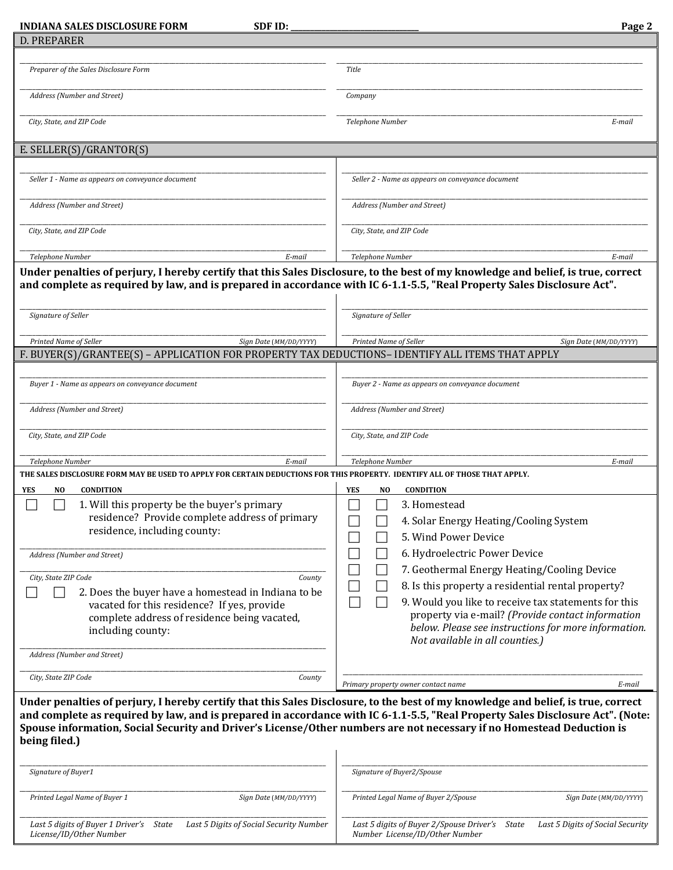| <b>INDIANA SALES DISCLOSURE FORM</b><br><b>SDF ID:</b>                                                                                                                                                                                                                      | Page 2                                                                                                                         |
|-----------------------------------------------------------------------------------------------------------------------------------------------------------------------------------------------------------------------------------------------------------------------------|--------------------------------------------------------------------------------------------------------------------------------|
| <b>D. PREPARER</b>                                                                                                                                                                                                                                                          |                                                                                                                                |
|                                                                                                                                                                                                                                                                             |                                                                                                                                |
| Preparer of the Sales Disclosure Form                                                                                                                                                                                                                                       | <b>Title</b>                                                                                                                   |
| Address (Number and Street)                                                                                                                                                                                                                                                 | Company                                                                                                                        |
| City, State, and ZIP Code                                                                                                                                                                                                                                                   | Telephone Number<br>E-mail                                                                                                     |
| E. SELLER(S)/GRANTOR(S)                                                                                                                                                                                                                                                     |                                                                                                                                |
|                                                                                                                                                                                                                                                                             |                                                                                                                                |
| Seller 1 - Name as appears on conveyance document                                                                                                                                                                                                                           | Seller 2 - Name as appears on conveyance document                                                                              |
| Address (Number and Street)                                                                                                                                                                                                                                                 | Address (Number and Street)                                                                                                    |
| City, State, and ZIP Code                                                                                                                                                                                                                                                   | City, State, and ZIP Code                                                                                                      |
| E-mail<br>Telephone Number                                                                                                                                                                                                                                                  | Telephone Number<br>E-mail                                                                                                     |
| and complete as required by law, and is prepared in accordance with IC 6-1.1-5.5, "Real Property Sales Disclosure Act".<br>Signature of Seller                                                                                                                              | Signature of Seller                                                                                                            |
| Printed Name of Seller<br>Sign Date (MM/DD/YYYY)                                                                                                                                                                                                                            | Printed Name of Seller<br>Sign Date (MM/DD/YYYY)                                                                               |
| F. BUYER(S)/GRANTEE(S) – APPLICATION FOR PROPERTY TAX DEDUCTIONS– IDENTIFY ALL ITEMS THAT APPLY                                                                                                                                                                             |                                                                                                                                |
| Buyer 1 - Name as appears on conveyance document                                                                                                                                                                                                                            | Buyer 2 - Name as appears on conveyance document                                                                               |
| Address (Number and Street)                                                                                                                                                                                                                                                 | Address (Number and Street)                                                                                                    |
| City, State, and ZIP Code                                                                                                                                                                                                                                                   | City, State, and ZIP Code                                                                                                      |
| Telephone Number<br>E-mail                                                                                                                                                                                                                                                  | Telephone Number<br>E-mail                                                                                                     |
| THE SALES DISCLOSURE FORM MAY BE USED TO APPLY FOR CERTAIN DEDUCTIONS FOR THIS PROPERTY. IDENTIFY ALL OF THOSE THAT APPLY.                                                                                                                                                  |                                                                                                                                |
| NO<br><b>CONDITION</b><br>YES                                                                                                                                                                                                                                               | <b>YES</b><br><b>CONDITION</b><br>NO                                                                                           |
| 1. Will this property be the buyer's primary                                                                                                                                                                                                                                | 3. Homestead                                                                                                                   |
| residence? Provide complete address of primary                                                                                                                                                                                                                              | 4. Solar Energy Heating/Cooling System                                                                                         |
| residence, including county:                                                                                                                                                                                                                                                | 5. Wind Power Device                                                                                                           |
|                                                                                                                                                                                                                                                                             |                                                                                                                                |
| Address (Number and Street)                                                                                                                                                                                                                                                 | 6. Hydroelectric Power Device                                                                                                  |
| City, State ZIP Code<br>County                                                                                                                                                                                                                                              | 7. Geothermal Energy Heating/Cooling Device                                                                                    |
| 2. Does the buyer have a homestead in Indiana to be                                                                                                                                                                                                                         | 8. Is this property a residential rental property?                                                                             |
| vacated for this residence? If yes, provide                                                                                                                                                                                                                                 | 9. Would you like to receive tax statements for this                                                                           |
| complete address of residence being vacated,                                                                                                                                                                                                                                | property via e-mail? (Provide contact information                                                                              |
| including county:                                                                                                                                                                                                                                                           | below. Please see instructions for more information.                                                                           |
|                                                                                                                                                                                                                                                                             | Not available in all counties.)                                                                                                |
| Address (Number and Street)                                                                                                                                                                                                                                                 |                                                                                                                                |
| City, State ZIP Code<br>County                                                                                                                                                                                                                                              |                                                                                                                                |
|                                                                                                                                                                                                                                                                             | E-mail<br>Primary property owner contact name                                                                                  |
| Under penalties of perjury, I hereby certify that this Sales Disclosure, to the best of my knowledge and belief, is true, correct<br>Spouse information, Social Security and Driver's License/Other numbers are not necessary if no Homestead Deduction is<br>being filed.) | and complete as required by law, and is prepared in accordance with IC 6-1.1-5.5, "Real Property Sales Disclosure Act". (Note: |
| Signature of Buyer1                                                                                                                                                                                                                                                         | Signature of Buyer2/Spouse                                                                                                     |
| Printed Legal Name of Buyer 1<br>Sign Date (MM/DD/YYYY)                                                                                                                                                                                                                     | Printed Legal Name of Buyer 2/Spouse<br>Sign Date (MM/DD/YYYY)                                                                 |

|                         | Last 5 digits of Buyer 1 Driver's State Last 5 Digits of Social Security Number | Last 5 digits of Buyer 2/Spouse Driver's State Last 5 Digits of Social Security |  |
|-------------------------|---------------------------------------------------------------------------------|---------------------------------------------------------------------------------|--|
| License/ID/Other Number |                                                                                 | Number License/ID/Other Number                                                  |  |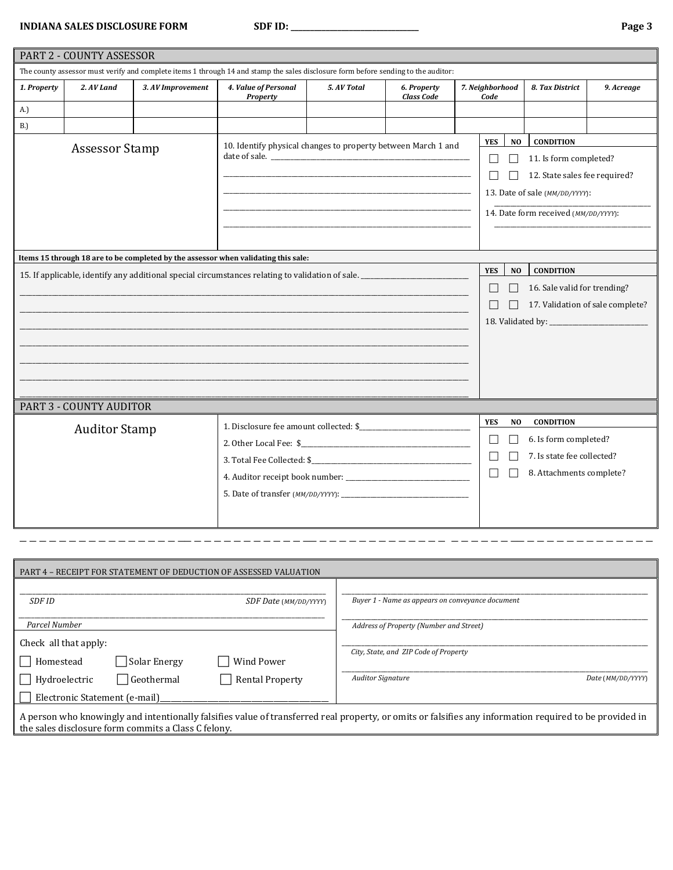**INDIANA SALES DISCLOSURE FORM SDF ID: \_\_\_\_\_\_\_\_\_\_\_\_\_\_\_\_\_\_\_\_\_\_\_\_\_\_\_\_\_\_\_\_\_ Page 3**

|                                                                                                                                    | PART 2 - COUNTY ASSESSOR |                   |                                                                                    |             |                                  |  |                         |                |                                      |                                  |
|------------------------------------------------------------------------------------------------------------------------------------|--------------------------|-------------------|------------------------------------------------------------------------------------|-------------|----------------------------------|--|-------------------------|----------------|--------------------------------------|----------------------------------|
| The county assessor must verify and complete items 1 through 14 and stamp the sales disclosure form before sending to the auditor: |                          |                   |                                                                                    |             |                                  |  |                         |                |                                      |                                  |
| 1. Property                                                                                                                        | 2. AV Land               | 3. AV Improvement | 4. Value of Personal<br><b>Property</b>                                            | 5. AV Total | 6. Property<br><b>Class Code</b> |  | 7. Neighborhood<br>Code |                | 8. Tax District                      | 9. Acreage                       |
| A.)                                                                                                                                |                          |                   |                                                                                    |             |                                  |  |                         |                |                                      |                                  |
| <b>B.</b> )                                                                                                                        |                          |                   |                                                                                    |             |                                  |  |                         |                |                                      |                                  |
|                                                                                                                                    | <b>Assessor Stamp</b>    |                   | 10. Identify physical changes to property between March 1 and                      |             |                                  |  | <b>YES</b>              | N <sub>O</sub> | <b>CONDITION</b>                     |                                  |
|                                                                                                                                    |                          |                   |                                                                                    |             |                                  |  | $\Box$                  |                | 11. Is form completed?               |                                  |
|                                                                                                                                    |                          |                   |                                                                                    |             |                                  |  |                         |                | 12. State sales fee required?        |                                  |
|                                                                                                                                    |                          |                   |                                                                                    |             |                                  |  |                         |                | 13. Date of sale (MM/DD/YYYY):       |                                  |
|                                                                                                                                    |                          |                   |                                                                                    |             |                                  |  |                         |                | 14. Date form received (MM/DD/YYYY): |                                  |
|                                                                                                                                    |                          |                   |                                                                                    |             |                                  |  |                         |                |                                      |                                  |
|                                                                                                                                    |                          |                   |                                                                                    |             |                                  |  |                         |                |                                      |                                  |
|                                                                                                                                    |                          |                   | Items 15 through 18 are to be completed by the assessor when validating this sale: |             |                                  |  |                         |                |                                      |                                  |
|                                                                                                                                    |                          |                   |                                                                                    |             |                                  |  | <b>YES</b>              | N <sub>O</sub> | <b>CONDITION</b>                     |                                  |
|                                                                                                                                    |                          |                   |                                                                                    |             |                                  |  | $\Box$                  | П              | 16. Sale valid for trending?         |                                  |
|                                                                                                                                    |                          |                   |                                                                                    |             |                                  |  | $\Box$                  |                |                                      | 17. Validation of sale complete? |
|                                                                                                                                    |                          |                   |                                                                                    |             |                                  |  |                         |                |                                      |                                  |
|                                                                                                                                    |                          |                   |                                                                                    |             |                                  |  |                         |                |                                      |                                  |
|                                                                                                                                    |                          |                   |                                                                                    |             |                                  |  |                         |                |                                      |                                  |
|                                                                                                                                    |                          |                   |                                                                                    |             |                                  |  |                         |                |                                      |                                  |
|                                                                                                                                    |                          |                   |                                                                                    |             |                                  |  |                         |                |                                      |                                  |
|                                                                                                                                    | PART 3 - COUNTY AUDITOR  |                   |                                                                                    |             |                                  |  |                         |                |                                      |                                  |
|                                                                                                                                    | <b>Auditor Stamp</b>     |                   | 1. Disclosure fee amount collected: \$                                             |             |                                  |  | <b>YES</b>              | N <sub>O</sub> | <b>CONDITION</b>                     |                                  |
|                                                                                                                                    |                          |                   |                                                                                    |             |                                  |  | $\Box$                  |                | 6. Is form completed?                |                                  |
|                                                                                                                                    |                          |                   |                                                                                    |             |                                  |  | П                       | $\mathbf{L}$   | 7. Is state fee collected?           |                                  |
|                                                                                                                                    |                          |                   |                                                                                    |             |                                  |  | $\Box$                  |                | 8. Attachments complete?             |                                  |
|                                                                                                                                    |                          |                   |                                                                                    |             |                                  |  |                         |                |                                      |                                  |
|                                                                                                                                    |                          |                   |                                                                                    |             |                                  |  |                         |                |                                      |                                  |
|                                                                                                                                    |                          |                   |                                                                                    |             |                                  |  |                         |                |                                      |                                  |

| PART 4 - RECEIPT FOR STATEMENT OF DEDUCTION OF ASSESSED VALUATION                                                                                                                                              |                                                                                        |
|----------------------------------------------------------------------------------------------------------------------------------------------------------------------------------------------------------------|----------------------------------------------------------------------------------------|
| SDF ID<br>SDF Date (MM/DD/YYYY)                                                                                                                                                                                | Buyer 1 - Name as appears on conveyance document                                       |
| Parcel Number                                                                                                                                                                                                  | Address of Property (Number and Street)                                                |
| Check all that apply:<br>Solar Energy<br><b>Wind Power</b><br>Homestead<br>  Geothermal<br><b>Rental Property</b><br>Hydroelectric                                                                             | City, State, and ZIP Code of Property<br><b>Auditor Signature</b><br>Date (MM/DD/YYYY) |
| Electronic Statement (e-mail)                                                                                                                                                                                  |                                                                                        |
| A person who knowingly and intentionally falsifies value of transferred real property, or omits or falsifies any information required to be provided in<br>the sales disclosure form commits a Class C felony. |                                                                                        |

\_ \_ \_ \_ \_ \_ \_ \_ \_ \_ \_ \_ \_ \_ \_ \_ \_\_ \_ \_ \_ \_ \_ \_ \_ \_ \_ \_ \_ \_\_ \_ \_ \_ \_ \_ \_ \_ \_ \_ \_ \_ \_ \_ \_ \_ \_ \_ \_ \_ \_\_ \_ \_ \_ \_ \_ \_ \_ \_ \_ \_ \_ \_ \_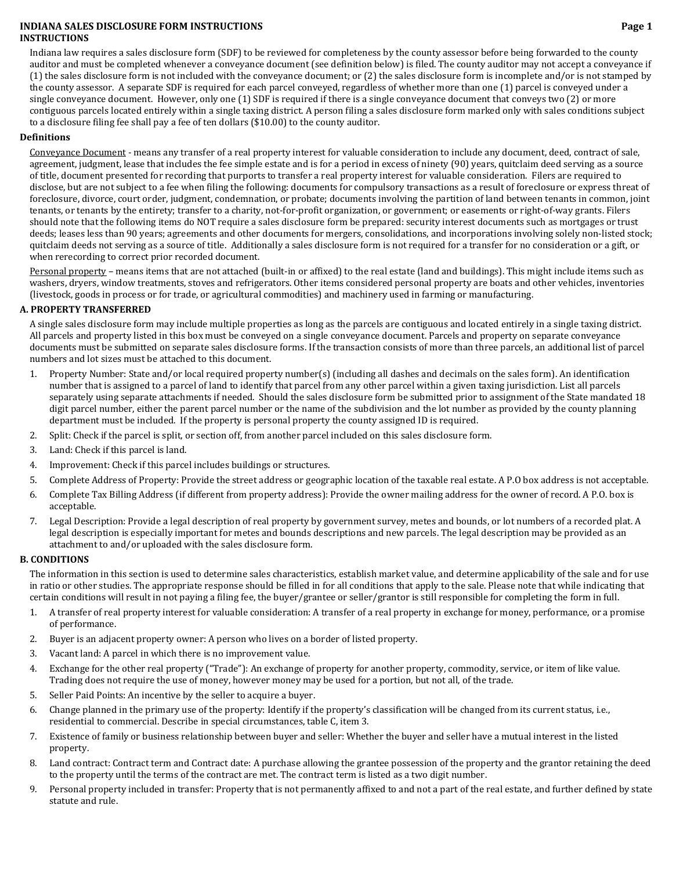### **INDIANA SALES DISCLOSURE FORM INSTRUCTIONS Page 1 INSTRUCTIONS**

Indiana law requires a sales disclosure form (SDF) to be reviewed for completeness by the county assessor before being forwarded to the county auditor and must be completed whenever a conveyance document (see definition below) is filed. The county auditor may not accept a conveyance if (1) the sales disclosure form is not included with the conveyance document; or (2) the sales disclosure form is incomplete and/or is not stamped by the county assessor. A separate SDF is required for each parcel conveyed, regardless of whether more than one (1) parcel is conveyed under a single conveyance document. However, only one (1) SDF is required if there is a single conveyance document that conveys two (2) or more contiguous parcels located entirely within a single taxing district. A person filing a sales disclosure form marked only with sales conditions subject to a disclosure filing fee shall pay a fee of ten dollars (\$10.00) to the county auditor.

## **Definitions**

Conveyance Document ‐ means any transfer of a real property interest for valuable consideration to include any document, deed, contract of sale, agreement, judgment, lease that includes the fee simple estate and is for a period in excess of ninety (90) years, quitclaim deed serving as a source of title, document presented for recording that purports to transfer a real property interest for valuable consideration. Filers are required to disclose, but are not subject to a fee when filing the following: documents for compulsory transactions as a result of foreclosure or express threat of foreclosure, divorce, court order, judgment, condemnation, or probate; documents involving the partition of land between tenants in common, joint tenants, or tenants by the entirety; transfer to a charity, not-for-profit organization, or government; or easements or right-of-way grants. Filers should note that the following items do NOT require a sales disclosure form be prepared: security interest documents such as mortgages or trust deeds; leases less than 90 years; agreements and other documents for mergers, consolidations, and incorporations involving solely non-listed stock; quitclaim deeds not serving as a source of title. Additionally a sales disclosure form is not required for a transfer for no consideration or a gift, or when rerecording to correct prior recorded document.

Personal property - means items that are not attached (built-in or affixed) to the real estate (land and buildings). This might include items such as washers, dryers, window treatments, stoves and refrigerators. Other items considered personal property are boats and other vehicles, inventories (livestock, goods in process or for trade, or agricultural commodities) and machinery used in farming or manufacturing.

# **A. PROPERTY TRANSFERRED**

A single sales disclosure form may include multiple properties as long as the parcels are contiguous and located entirely in a single taxing district. All parcels and property listed in this box must be conveyed on a single conveyance document. Parcels and property on separate conveyance documents must be submitted on separate sales disclosure forms. If the transaction consists of more than three parcels, an additional list of parcel numbers and lot sizes must be attached to this document.

- 1. Property Number: State and/or local required property number(s) (including all dashes and decimals on the sales form). An identification number that is assigned to a parcel of land to identify that parcel from any other parcel within a given taxing jurisdiction. List all parcels separately using separate attachments if needed. Should the sales disclosure form be submitted prior to assignment of the State mandated 18 digit parcel number, either the parent parcel number or the name of the subdivision and the lot number as provided by the county planning department must be included. If the property is personal property the county assigned ID is required.
- 2. Split: Check if the parcel is split, or section off, from another parcel included on this sales disclosure form.
- 3. Land: Check if this parcel is land.
- 4. Improvement: Check if this parcel includes buildings or structures.
- 5. Complete Address of Property: Provide the street address or geographic location of the taxable real estate. A P.O box address is not acceptable.
- 6. Complete Tax Billing Address (if different from property address): Provide the owner mailing address for the owner of record. A P.O. box is acceptable.
- 7. Legal Description: Provide a legal description of real property by government survey, metes and bounds, or lot numbers of a recorded plat. A legal description is especially important for metes and bounds descriptions and new parcels. The legal description may be provided as an attachment to and/or uploaded with the sales disclosure form.

# **B. CONDITIONS**

The information in this section is used to determine sales characteristics, establish market value, and determine applicability of the sale and for use in ratio or other studies. The appropriate response should be filled in for all conditions that apply to the sale. Please note that while indicating that certain conditions will result in not paying a filing fee, the buyer/grantee or seller/grantor is still responsible for completing the form in full.

- 1. A transfer of real property interest for valuable consideration: A transfer of a real property in exchange for money, performance, or a promise of performance.
- 2. Buyer is an adjacent property owner: A person who lives on a border of listed property.
- 3. Vacant land: A parcel in which there is no improvement value.
- 4. Exchange for the other real property ("Trade"): An exchange of property for another property, commodity, service, or item of like value. Trading does not require the use of money, however money may be used for a portion, but not all, of the trade.
- 5. Seller Paid Points: An incentive by the seller to acquire a buyer.
- 6. Change planned in the primary use of the property: Identify if the property's classification will be changed from its current status, i.e., residential to commercial. Describe in special circumstances, table C, item 3.
- 7. Existence of family or business relationship between buyer and seller: Whether the buyer and seller have a mutual interest in the listed property.
- 8. Land contract: Contract term and Contract date: A purchase allowing the grantee possession of the property and the grantor retaining the deed to the property until the terms of the contract are met. The contract term is listed as a two digit number.
- 9. Personal property included in transfer: Property that is not permanently affixed to and not a part of the real estate, and further defined by state statute and rule.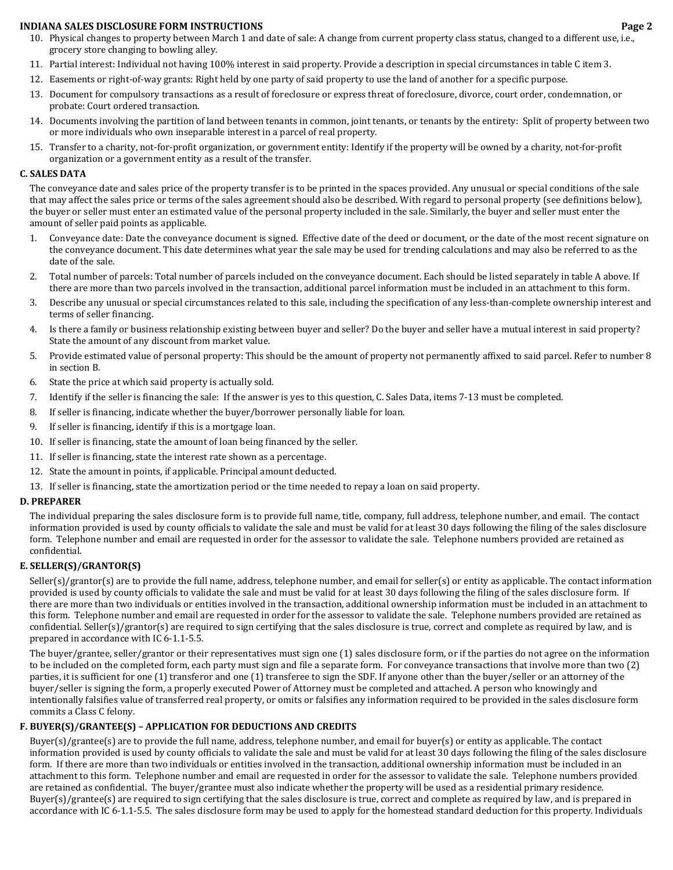- 10. Physical changes to property between March 1 and date of sale: A change from current property class status, changed to a different use, i.e., grocery store changing to bowling alley.
- 11. Partial interest: Individual not having 100% interest in said property. Provide a description in special circumstances in table C item 3.
- 12. Easements or right‐of‐way grants: Right held by one party of said property to use the land of another for a specific purpose.
- 13. Document for compulsory transactions as a result of foreclosure or express threat of foreclosure, divorce, court order, condemnation, or probate: Court ordered transaction.
- 14. Documents involving the partition of land between tenants in common, joint tenants, or tenants by the entirety: Split of property between two or more individuals who own inseparable interest in a parcel of real property.
- 15. Transfer to a charity, not‐for‐profit organization, or government entity: Identify if the property will be owned by a charity, not‐for‐profit organization or a government entity as a result of the transfer.

#### **C. SALES DATA**

The conveyance date and sales price of the property transfer is to be printed in the spaces provided. Any unusual or special conditions of the sale that may affect the sales price or terms of the sales agreement should also be described. With regard to personal property (see definitions below), the buyer or seller must enter an estimated value of the personal property included in the sale. Similarly, the buyer and seller must enter the amount of seller paid points as applicable.

- 1. Conveyance date: Date the conveyance document is signed. Effective date of the deed or document, or the date of the most recent signature on the conveyance document. This date determines what year the sale may be used for trending calculations and may also be referred to as the date of the sale.
- 2. Total number of parcels: Total number of parcels included on the conveyance document. Each should be listed separately in table A above. If there are more than two parcels involved in the transaction, additional parcel information must be included in an attachment to this form.
- 3. Describe any unusual or special circumstances related to this sale, including the specification of any less-than-complete ownership interest and terms of seller financing.
- 4. Is there a family or business relationship existing between buyer and seller? Do the buyer and seller have a mutual interest in said property? State the amount of any discount from market value.
- 5. Provide estimated value of personal property: This should be the amount of property not permanently affixed to said parcel. Refer to number 8 in section B.
- 6. State the price at which said property is actually sold.
- 7. Identify if the seller is financing the sale: If the answer is yes to this question, C. Sales Data, items 7‐13 must be completed.
- 8. If seller is financing, indicate whether the buyer/borrower personally liable for loan.
- 9. If seller is financing, identify if this is a mortgage loan.
- 10. If seller is financing, state the amount of loan being financed by the seller.
- 11. If seller is financing, state the interest rate shown as a percentage.
- 12. State the amount in points, if applicable. Principal amount deducted.
- 13. If seller is financing, state the amortization period or the time needed to repay a loan on said property.

## **D. PREPARER**

The individual preparing the sales disclosure form is to provide full name, title, company, full address, telephone number, and email. The contact information provided is used by county officials to validate the sale and must be valid for at least 30 days following the filing of the sales disclosure form. Telephone number and email are requested in order for the assessor to validate the sale. Telephone numbers provided are retained as confidential.

## **E. SELLER(S)/GRANTOR(S)**

 $Seller(s)/grantor(s)$  are to provide the full name, address, telephone number, and email for seller(s) or entity as applicable. The contact information provided is used by county officials to validate the sale and must be valid for at least 30 days following the filing of the sales disclosure form. If there are more than two individuals or entities involved in the transaction, additional ownership information must be included in an attachment to this form. Telephone number and email are requested in order for the assessor to validate the sale. Telephone numbers provided are retained as confidential. Seller(s)/grantor(s) are required to sign certifying that the sales disclosure is true, correct and complete as required by law, and is prepared in accordance with IC 6‐1.1‐5.5.

The buyer/grantee, seller/grantor or their representatives must sign one (1) sales disclosure form, or if the parties do not agree on the information to be included on the completed form, each party must sign and file a separate form. For conveyance transactions that involve more than two (2) parties, it is sufficient for one (1) transferor and one (1) transferee to sign the SDF. If anyone other than the buyer/seller or an attorney of the buyer/seller is signing the form, a properly executed Power of Attorney must be completed and attached. A person who knowingly and intentionally falsifies value of transferred real property, or omits or falsifies any information required to be provided in the sales disclosure form commits a Class C felony.

# **F. BUYER(S)/GRANTEE(S) – APPLICATION FOR DEDUCTIONS AND CREDITS**

Buyer(s)/grantee(s) are to provide the full name, address, telephone number, and email for buyer(s) or entity as applicable. The contact information provided is used by county officials to validate the sale and must be valid for at least 30 days following the filing of the sales disclosure form. If there are more than two individuals or entities involved in the transaction, additional ownership information must be included in an attachment to this form. Telephone number and email are requested in order for the assessor to validate the sale. Telephone numbers provided are retained as confidential. The buyer/grantee must also indicate whether the property will be used as a residential primary residence. Buyer(s)/grantee(s) are required to sign certifying that the sales disclosure is true, correct and complete as required by law, and is prepared in accordance with IC 6‐1.1‐5.5. The sales disclosure form may be used to apply for the homestead standard deduction for this property. Individuals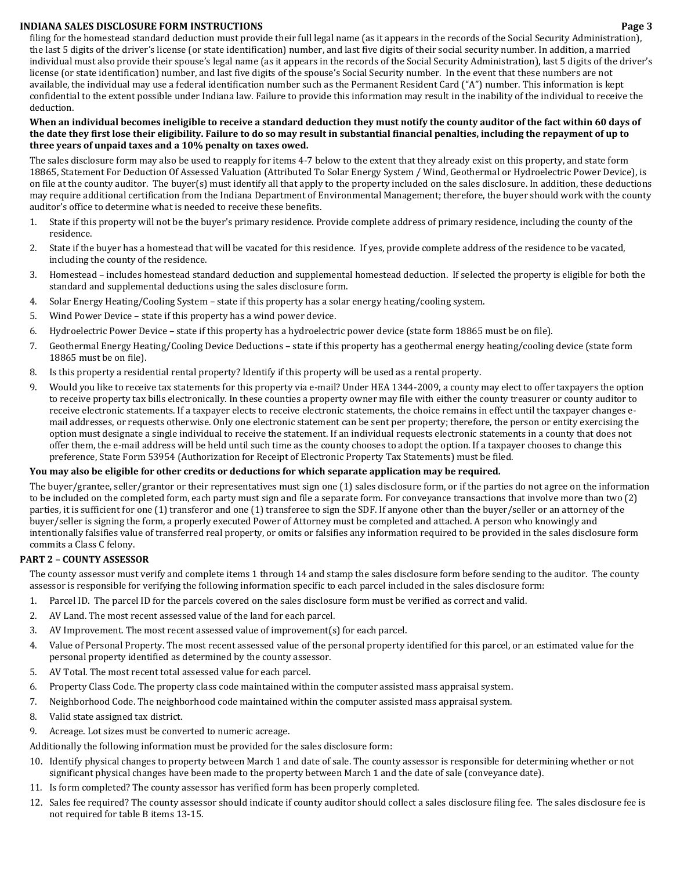filing for the homestead standard deduction must provide their full legal name (as it appears in the records of the Social Security Administration), the last 5 digits of the driver's license (or state identification) number, and last five digits of their social security number. In addition, a married individual must also provide their spouse's legal name (as it appears in the records of the Social Security Administration), last 5 digits of the driver's license (or state identification) number, and last five digits of the spouse's Social Security number. In the event that these numbers are not available, the individual may use a federal identification number such as the Permanent Resident Card ("A") number. This information is kept confidential to the extent possible under Indiana law. Failure to provide this information may result in the inability of the individual to receive the deduction.

## When an individual becomes ineligible to receive a standard deduction they must notify the county auditor of the fact within 60 days of the date they first lose their eligibility. Failure to do so may result in substantial financial penalties, including the repayment of up to **three years of unpaid taxes and a 10% penalty on taxes owed.**

The sales disclosure form may also be used to reapply for items 4‐7 below to the extent that they already exist on this property, and state form 18865, Statement For Deduction Of Assessed Valuation (Attributed To Solar Energy System / Wind, Geothermal or Hydroelectric Power Device), is on file at the county auditor. The buyer(s) must identify all that apply to the property included on the sales disclosure. In addition, these deductions may require additional certification from the Indiana Department of Environmental Management; therefore, the buyer should work with the county auditor's office to determine what is needed to receive these benefits.

- 1. State if this property will not be the buyer's primary residence. Provide complete address of primary residence, including the county of the residence.
- 2. State if the buyer has a homestead that will be vacated for this residence. If yes, provide complete address of the residence to be vacated, including the county of the residence.
- 3. Homestead includes homestead standard deduction and supplemental homestead deduction. If selected the property is eligible for both the standard and supplemental deductions using the sales disclosure form.
- 4. Solar Energy Heating/Cooling System state if this property has a solar energy heating/cooling system.
- 5. Wind Power Device state if this property has a wind power device.
- 6. Hydroelectric Power Device state if this property has a hydroelectric power device (state form 18865 must be on file).
- 7. Geothermal Energy Heating/Cooling Device Deductions state if this property has a geothermal energy heating/cooling device (state form 18865 must be on file).
- 8. Is this property a residential rental property? Identify if this property will be used as a rental property.
- 9. Would you like to receive tax statements for this property via e-mail? Under HEA 1344-2009, a county may elect to offer taxpayers the option to receive property tax bills electronically. In these counties a property owner may file with either the county treasurer or county auditor to receive electronic statements. If a taxpayer elects to receive electronic statements, the choice remains in effect until the taxpayer changes email addresses, or requests otherwise. Only one electronic statement can be sent per property; therefore, the person or entity exercising the option must designate a single individual to receive the statement. If an individual requests electronic statements in a county that does not offer them, the e-mail address will be held until such time as the county chooses to adopt the option. If a taxpayer chooses to change this preference, State Form 53954 (Authorization for Receipt of Electronic Property Tax Statements) must be filed.

# You may also be eligible for other credits or deductions for which separate application may be required.

The buyer/grantee, seller/grantor or their representatives must sign one (1) sales disclosure form, or if the parties do not agree on the information to be included on the completed form, each party must sign and file a separate form. For conveyance transactions that involve more than two (2) parties, it is sufficient for one (1) transferor and one (1) transferee to sign the SDF. If anyone other than the buyer/seller or an attorney of the buyer/seller is signing the form, a properly executed Power of Attorney must be completed and attached. A person who knowingly and intentionally falsifies value of transferred real property, or omits or falsifies any information required to be provided in the sales disclosure form commits a Class C felony.

## **PART 2 – COUNTY ASSESSOR**

The county assessor must verify and complete items 1 through 14 and stamp the sales disclosure form before sending to the auditor. The county assessor is responsible for verifying the following information specific to each parcel included in the sales disclosure form:

- 1. Parcel ID. The parcel ID for the parcels covered on the sales disclosure form must be verified as correct and valid.
- 2. AV Land. The most recent assessed value of the land for each parcel.
- 3. AV Improvement. The most recent assessed value of improvement(s) for each parcel.
- 4. Value of Personal Property. The most recent assessed value of the personal property identified for this parcel, or an estimated value for the personal property identified as determined by the county assessor.
- 5. AV Total. The most recent total assessed value for each parcel.
- 6. Property Class Code. The property class code maintained within the computer assisted mass appraisal system.
- 7. Neighborhood Code. The neighborhood code maintained within the computer assisted mass appraisal system.
- 8. Valid state assigned tax district.
- 9. Acreage. Lot sizes must be converted to numeric acreage.

Additionally the following information must be provided for the sales disclosure form:

- 10. Identify physical changes to property between March 1 and date of sale. The county assessor is responsible for determining whether or not significant physical changes have been made to the property between March 1 and the date of sale (conveyance date).
- 11. Is form completed? The county assessor has verified form has been properly completed.
- 12. Sales fee required? The county assessor should indicate if county auditor should collect a sales disclosure filing fee. The sales disclosure fee is not required for table B items 13‐15.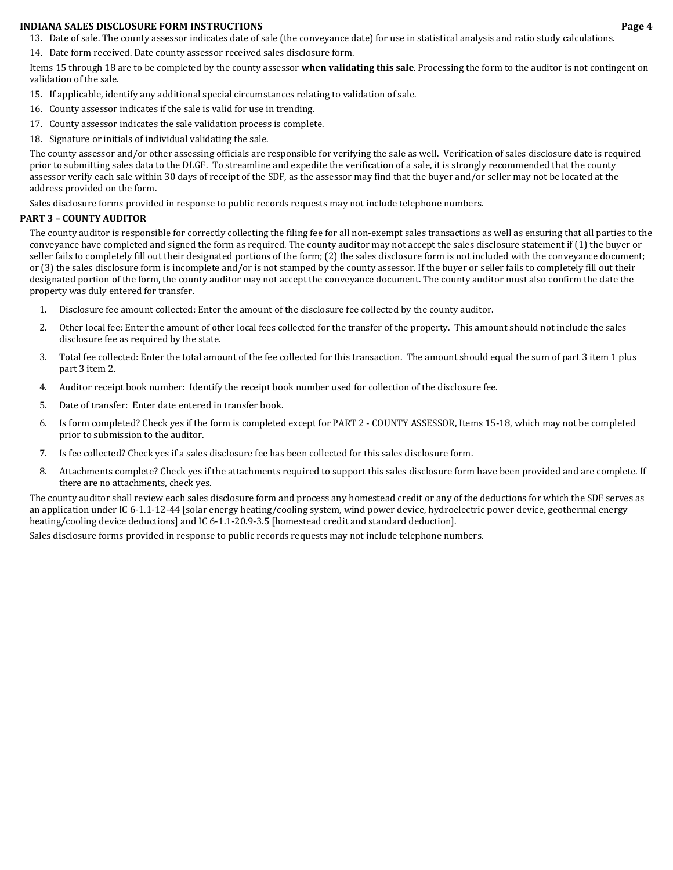- 13. Date of sale. The county assessor indicates date of sale (the conveyance date) for use in statistical analysis and ratio study calculations.
- 14. Date form received. Date county assessor received sales disclosure form.

Items 15 through 18 are to be completed by the county assessor **when validating this sale**. Processing the form to the auditor is not contingent on validation of the sale.

- 15. If applicable, identify any additional special circumstances relating to validation of sale.
- 16. County assessor indicates if the sale is valid for use in trending.
- 17. County assessor indicates the sale validation process is complete.
- 18. Signature or initials of individual validating the sale.

The county assessor and/or other assessing officials are responsible for verifying the sale as well. Verification of sales disclosure date is required prior to submitting sales data to the DLGF. To streamline and expedite the verification of a sale, it is strongly recommended that the county assessor verify each sale within 30 days of receipt of the SDF, as the assessor may find that the buyer and/or seller may not be located at the address provided on the form.

Sales disclosure forms provided in response to public records requests may not include telephone numbers.

## **PART 3 – COUNTY AUDITOR**

The county auditor is responsible for correctly collecting the filing fee for all non-exempt sales transactions as well as ensuring that all parties to the conveyance have completed and signed the form as required. The county auditor may not accept the sales disclosure statement if (1) the buyer or seller fails to completely fill out their designated portions of the form; (2) the sales disclosure form is not included with the conveyance document; or (3) the sales disclosure form is incomplete and/or is not stamped by the county assessor. If the buyer or seller fails to completely fill out their designated portion of the form, the county auditor may not accept the conveyance document. The county auditor must also confirm the date the property was duly entered for transfer.

- 1. Disclosure fee amount collected: Enter the amount of the disclosure fee collected by the county auditor.
- 2. Other local fee: Enter the amount of other local fees collected for the transfer of the property. This amount should not include the sales disclosure fee as required by the state.
- 3. Total fee collected: Enter the total amount of the fee collected for this transaction. The amount should equal the sum of part 3 item 1 plus part 3 item 2.
- 4. Auditor receipt book number: Identify the receipt book number used for collection of the disclosure fee.
- 5. Date of transfer: Enter date entered in transfer book.
- 6. Is form completed? Check yes if the form is completed except for PART 2 ‐ COUNTY ASSESSOR, Items 15‐18, which may not be completed prior to submission to the auditor.
- 7. Is fee collected? Check yes if a sales disclosure fee has been collected for this sales disclosure form.
- 8. Attachments complete? Check yes if the attachments required to support this sales disclosure form have been provided and are complete. If there are no attachments, check yes.

The county auditor shall review each sales disclosure form and process any homestead credit or any of the deductions for which the SDF serves as an application under IC 6‐1.1‐12‐44 [solar energy heating/cooling system, wind power device, hydroelectric power device, geothermal energy heating/cooling device deductions] and IC 6-1.1-20.9-3.5 [homestead credit and standard deduction].

Sales disclosure forms provided in response to public records requests may not include telephone numbers.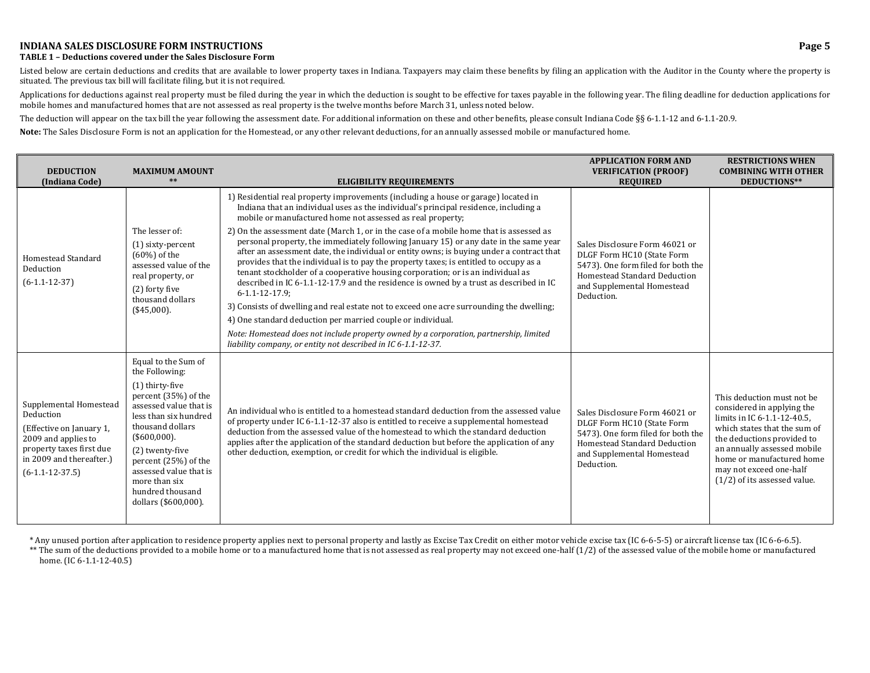#### **TABLE 1 – Deductions covered under the Sales Disclosure Form**

Listed below are certain deductions and credits that are available to lower property taxes in Indiana. Taxpayers may claim these benefits by filing an application with the Auditor in the County where the property is situated. The previous tax bill will facilitate filing, but it is not required.

Applications for deductions against real property must be filed during the year in which the deduction is sought to be effective for taxes payable in the following year. The filing deadline for deduction applications for mobile homes and manufactured homes that are not assessed as real property is the twelve months before March 31, unless noted below.

The deduction will appear on the tax bill the year following the assessment date. For additional information on these and other benefits, please consult Indiana Code §§ 6-1.1-12 and 6-1.1-20.9.

**Note:** The Sales Disclosure Form is not an application for the Homestead, or any other relevant deductions, for an annually assessed mobile or manufactured home.

| <b>DEDUCTION</b><br>(Indiana Code)                                                                                                                                  | <b>MAXIMUM AMOUNT</b><br>$**$                                                                                                                                                                                                                                    | <b>ELIGIBILITY REQUIREMENTS</b>                                                                                                                                                                                                                                                                                                                                                                                                                                                                                                                                               | <b>APPLICATION FORM AND</b><br><b>VERIFICATION (PROOF)</b><br><b>REQUIRED</b>                                                                                                  | <b>RESTRICTIONS WHEN</b><br><b>COMBINING WITH OTHER</b><br>DEDUCTIONS**                                                                                                                                                                                                        |
|---------------------------------------------------------------------------------------------------------------------------------------------------------------------|------------------------------------------------------------------------------------------------------------------------------------------------------------------------------------------------------------------------------------------------------------------|-------------------------------------------------------------------------------------------------------------------------------------------------------------------------------------------------------------------------------------------------------------------------------------------------------------------------------------------------------------------------------------------------------------------------------------------------------------------------------------------------------------------------------------------------------------------------------|--------------------------------------------------------------------------------------------------------------------------------------------------------------------------------|--------------------------------------------------------------------------------------------------------------------------------------------------------------------------------------------------------------------------------------------------------------------------------|
|                                                                                                                                                                     |                                                                                                                                                                                                                                                                  | 1) Residential real property improvements (including a house or garage) located in<br>Indiana that an individual uses as the individual's principal residence, including a<br>mobile or manufactured home not assessed as real property;                                                                                                                                                                                                                                                                                                                                      |                                                                                                                                                                                |                                                                                                                                                                                                                                                                                |
| Homestead Standard<br>Deduction<br>$(6-1.1-12-37)$                                                                                                                  | The lesser of:<br>$(1)$ sixty-percent<br>$(60\%)$ of the<br>assessed value of the<br>real property, or<br>(2) forty five<br>thousand dollars                                                                                                                     | 2) On the assessment date (March 1, or in the case of a mobile home that is assessed as<br>personal property, the immediately following January 15) or any date in the same year<br>after an assessment date, the individual or entity owns; is buying under a contract that<br>provides that the individual is to pay the property taxes; is entitled to occupy as a<br>tenant stockholder of a cooperative housing corporation; or is an individual as<br>described in IC 6-1.1-12-17.9 and the residence is owned by a trust as described in IC<br>$6 - 1.1 - 12 - 17.9$ ; | Sales Disclosure Form 46021 or<br>DLGF Form HC10 (State Form<br>5473). One form filed for both the<br>Homestead Standard Deduction<br>and Supplemental Homestead<br>Deduction. |                                                                                                                                                                                                                                                                                |
|                                                                                                                                                                     | (\$45,000).                                                                                                                                                                                                                                                      | 3) Consists of dwelling and real estate not to exceed one acre surrounding the dwelling;                                                                                                                                                                                                                                                                                                                                                                                                                                                                                      |                                                                                                                                                                                |                                                                                                                                                                                                                                                                                |
|                                                                                                                                                                     |                                                                                                                                                                                                                                                                  | 4) One standard deduction per married couple or individual.<br>Note: Homestead does not include property owned by a corporation, partnership, limited<br>liability company, or entity not described in IC 6-1.1-12-37.                                                                                                                                                                                                                                                                                                                                                        |                                                                                                                                                                                |                                                                                                                                                                                                                                                                                |
|                                                                                                                                                                     | Equal to the Sum of<br>the Following:                                                                                                                                                                                                                            |                                                                                                                                                                                                                                                                                                                                                                                                                                                                                                                                                                               |                                                                                                                                                                                |                                                                                                                                                                                                                                                                                |
| Supplemental Homestead<br>Deduction<br>(Effective on January 1,<br>2009 and applies to<br>property taxes first due<br>in 2009 and thereafter.)<br>$(6-1.1-12-37.5)$ | (1) thirty-five<br>percent (35%) of the<br>assessed value that is<br>less than six hundred<br>thousand dollars<br>(\$600,000).<br>(2) twenty-five<br>percent (25%) of the<br>assessed value that is<br>more than six<br>hundred thousand<br>dollars (\$600,000). | An individual who is entitled to a homestead standard deduction from the assessed value<br>of property under IC 6-1.1-12-37 also is entitled to receive a supplemental homestead<br>deduction from the assessed value of the homestead to which the standard deduction<br>applies after the application of the standard deduction but before the application of any<br>other deduction, exemption, or credit for which the individual is eligible.                                                                                                                            | Sales Disclosure Form 46021 or<br>DLGF Form HC10 (State Form<br>5473). One form filed for both the<br>Homestead Standard Deduction<br>and Supplemental Homestead<br>Deduction. | This deduction must not be<br>considered in applying the<br>limits in IC 6-1.1-12-40.5,<br>which states that the sum of<br>the deductions provided to<br>an annually assessed mobile<br>home or manufactured home<br>may not exceed one-half<br>$(1/2)$ of its assessed value. |

\* Any unused portion after application to residence property applies next to personal property and lastly as Excise Tax Credit on either motor vehicle excise tax (IC 6‐6‐5‐5) or aircraft license tax (IC 6‐6‐6.5).

\*\* The sum of the deductions provided to a mobile home or to a manufactured home that is not assessed as real property may not exceed one‐half (1/2) of the assessed value of the mobile home or manufactured home. (IC 6-1.1-12-40.5)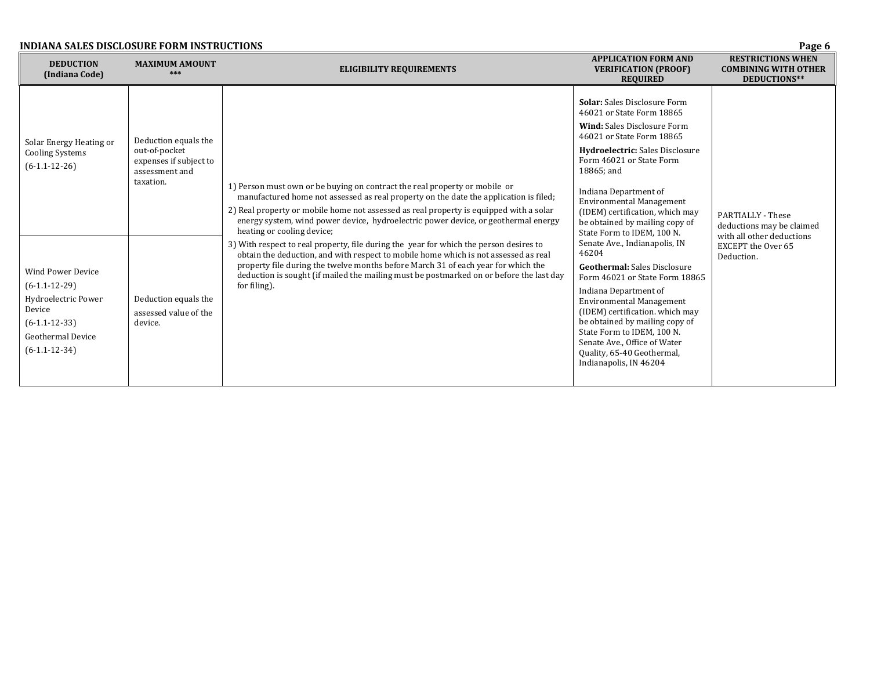| <b>INDIANA SALES DISCLOSURE FORM INSTRUCTIONS</b><br>Page 6                                                                                                                                                            |                                                                                                                                                            |                                                                                                                                                                                                                                                                                                                                                                                                                                                                                                                                                                                                                                                                                                                                                                    |                                                                                                                                                                                                                                                                                                                                                                                                                                                                                                                                                                                                                                                                                                                                                                  |                                                                                                                        |  |  |  |
|------------------------------------------------------------------------------------------------------------------------------------------------------------------------------------------------------------------------|------------------------------------------------------------------------------------------------------------------------------------------------------------|--------------------------------------------------------------------------------------------------------------------------------------------------------------------------------------------------------------------------------------------------------------------------------------------------------------------------------------------------------------------------------------------------------------------------------------------------------------------------------------------------------------------------------------------------------------------------------------------------------------------------------------------------------------------------------------------------------------------------------------------------------------------|------------------------------------------------------------------------------------------------------------------------------------------------------------------------------------------------------------------------------------------------------------------------------------------------------------------------------------------------------------------------------------------------------------------------------------------------------------------------------------------------------------------------------------------------------------------------------------------------------------------------------------------------------------------------------------------------------------------------------------------------------------------|------------------------------------------------------------------------------------------------------------------------|--|--|--|
| <b>DEDUCTION</b><br>(Indiana Code)                                                                                                                                                                                     | <b>MAXIMUM AMOUNT</b><br>***                                                                                                                               | <b>APPLICATION FORM AND</b><br><b>ELIGIBILITY REQUIREMENTS</b><br><b>VERIFICATION (PROOF)</b><br><b>REQUIRED</b>                                                                                                                                                                                                                                                                                                                                                                                                                                                                                                                                                                                                                                                   |                                                                                                                                                                                                                                                                                                                                                                                                                                                                                                                                                                                                                                                                                                                                                                  | <b>RESTRICTIONS WHEN</b><br><b>COMBINING WITH OTHER</b><br>DEDUCTIONS**                                                |  |  |  |
| Solar Energy Heating or<br><b>Cooling Systems</b><br>$(6-1.1-12-26)$<br><b>Wind Power Device</b><br>$(6-1.1-12-29)$<br>Hydroelectric Power<br>Device<br>$(6-1.1-12-33)$<br><b>Geothermal Device</b><br>$(6-1.1-12-34)$ | Deduction equals the<br>out-of-pocket<br>expenses if subject to<br>assessment and<br>taxation.<br>Deduction equals the<br>assessed value of the<br>device. | 1) Person must own or be buying on contract the real property or mobile or<br>manufactured home not assessed as real property on the date the application is filed;<br>2) Real property or mobile home not assessed as real property is equipped with a solar<br>energy system, wind power device, hydroelectric power device, or geothermal energy<br>heating or cooling device;<br>3) With respect to real property, file during the year for which the person desires to<br>obtain the deduction, and with respect to mobile home which is not assessed as real<br>property file during the twelve months before March 31 of each year for which the<br>deduction is sought (if mailed the mailing must be postmarked on or before the last day<br>for filing). | <b>Solar:</b> Sales Disclosure Form<br>46021 or State Form 18865<br><b>Wind: Sales Disclosure Form</b><br>46021 or State Form 18865<br><b>Hydroelectric:</b> Sales Disclosure<br>Form 46021 or State Form<br>18865; and<br>Indiana Department of<br><b>Environmental Management</b><br>(IDEM) certification, which may<br>be obtained by mailing copy of<br>State Form to IDEM, 100 N.<br>Senate Ave., Indianapolis, IN<br>46204<br><b>Geothermal:</b> Sales Disclosure<br>Form 46021 or State Form 18865<br>Indiana Department of<br><b>Environmental Management</b><br>(IDEM) certification. which may<br>be obtained by mailing copy of<br>State Form to IDEM, 100 N.<br>Senate Ave., Office of Water<br>Quality, 65-40 Geothermal,<br>Indianapolis, IN 46204 | PARTIALLY - These<br>deductions may be claimed<br>with all other deductions<br><b>EXCEPT</b> the Over 65<br>Deduction. |  |  |  |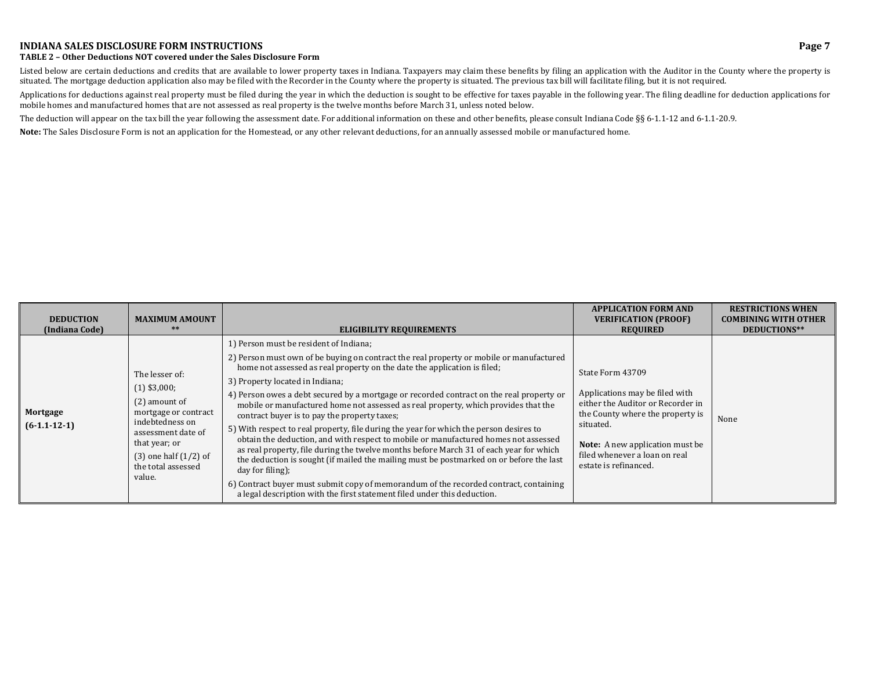#### **TABLE 2 – Other Deductions NOT covered under the Sales Disclosure Form**

Listed below are certain deductions and credits that are available to lower property taxes in Indiana. Taxpayers may claim these benefits by filing an application with the Auditor in the County where the property is situated. The mortgage deduction application also may be filed with the Recorder in the County where the property is situated. The previous tax bill will facilitate filing, but it is not required.

Applications for deductions against real property must be filed during the year in which the deduction is sought to be effective for taxes payable in the following year. The filing deadline for deduction applications for mobile homes and manufactured homes that are not assessed as real property is the twelve months before March 31, unless noted below.

The deduction will appear on the tax bill the year following the assessment date. For additional information on these and other benefits, please consult Indiana Code §§ 6-1.1-12 and 6-1.1-20.9.

**Note:** The Sales Disclosure Form is not an application for the Homestead, or any other relevant deductions, for an annually assessed mobile or manufactured home.

| <b>DEDUCTION</b><br>(Indiana Code) | <b>MAXIMUM AMOUNT</b><br>$***$                                                                                                                                                                     | <b>ELIGIBILITY REQUIREMENTS</b>                                                                                                                                                                                                                                                                                                                                                                                                                                                                                                                                                                                                                                                                                                                                                                                                                                                                                                                                                                                                                   | <b>APPLICATION FORM AND</b><br><b>VERIFICATION (PROOF)</b><br><b>REQUIRED</b>                                                                                                                                                                | <b>RESTRICTIONS WHEN</b><br><b>COMBINING WITH OTHER</b><br>DEDUCTIONS** |
|------------------------------------|----------------------------------------------------------------------------------------------------------------------------------------------------------------------------------------------------|---------------------------------------------------------------------------------------------------------------------------------------------------------------------------------------------------------------------------------------------------------------------------------------------------------------------------------------------------------------------------------------------------------------------------------------------------------------------------------------------------------------------------------------------------------------------------------------------------------------------------------------------------------------------------------------------------------------------------------------------------------------------------------------------------------------------------------------------------------------------------------------------------------------------------------------------------------------------------------------------------------------------------------------------------|----------------------------------------------------------------------------------------------------------------------------------------------------------------------------------------------------------------------------------------------|-------------------------------------------------------------------------|
| Mortgage<br>$(6-1.1-12-1)$         | The lesser of:<br>$(1)$ \$3,000;<br>$(2)$ amount of<br>mortgage or contract<br>indebtedness on<br>assessment date of<br>that year; or<br>$(3)$ one half $(1/2)$ of<br>the total assessed<br>value. | 1) Person must be resident of Indiana;<br>2) Person must own of be buying on contract the real property or mobile or manufactured<br>home not assessed as real property on the date the application is filed;<br>3) Property located in Indiana;<br>4) Person owes a debt secured by a mortgage or recorded contract on the real property or<br>mobile or manufactured home not assessed as real property, which provides that the<br>contract buyer is to pay the property taxes;<br>5) With respect to real property, file during the year for which the person desires to<br>obtain the deduction, and with respect to mobile or manufactured homes not assessed<br>as real property, file during the twelve months before March 31 of each year for which<br>the deduction is sought (if mailed the mailing must be postmarked on or before the last<br>day for filing);<br>6) Contract buyer must submit copy of memorandum of the recorded contract, containing<br>a legal description with the first statement filed under this deduction. | State Form 43709<br>Applications may be filed with<br>either the Auditor or Recorder in<br>the County where the property is<br>situated.<br><b>Note:</b> A new application must be<br>filed whenever a loan on real<br>estate is refinanced. | None                                                                    |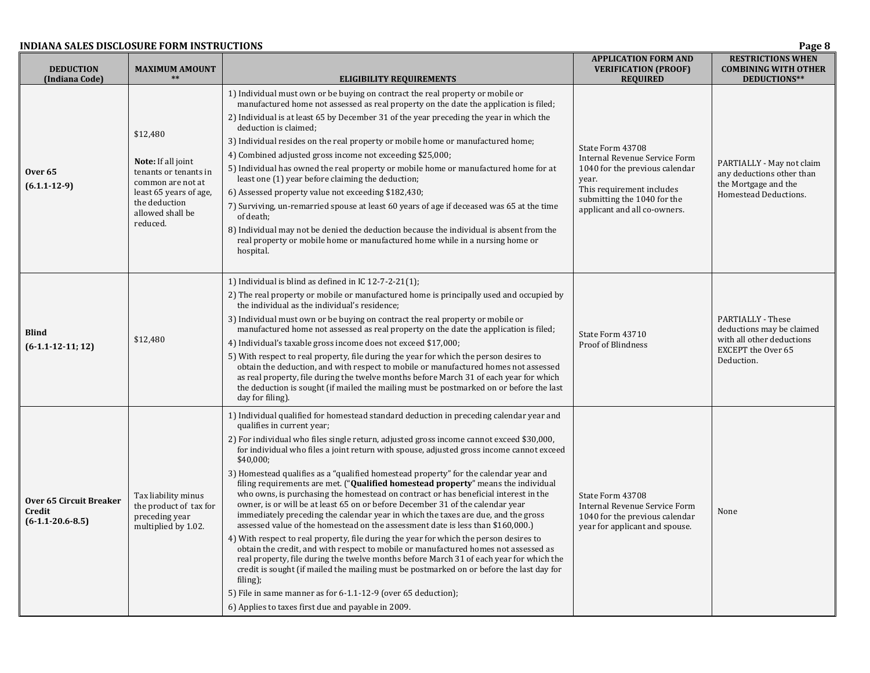#### **INDIANA SALES DISCLOSURE FORM**

| INDIANA SALES DISCLOSURE FORM INSTRUCTIONS<br>Page 8    |                                                                                                                                                                |                                                                                                                                                                                                                                                                                                                                                                                                                                                                                                                                                                                                                                                                                                                                                                                                                                                                                                                                                                                                                                                                                                                                                                                                                                                                                                                                                                     |                                                                                                                                                                                          |                                                                                                                               |
|---------------------------------------------------------|----------------------------------------------------------------------------------------------------------------------------------------------------------------|---------------------------------------------------------------------------------------------------------------------------------------------------------------------------------------------------------------------------------------------------------------------------------------------------------------------------------------------------------------------------------------------------------------------------------------------------------------------------------------------------------------------------------------------------------------------------------------------------------------------------------------------------------------------------------------------------------------------------------------------------------------------------------------------------------------------------------------------------------------------------------------------------------------------------------------------------------------------------------------------------------------------------------------------------------------------------------------------------------------------------------------------------------------------------------------------------------------------------------------------------------------------------------------------------------------------------------------------------------------------|------------------------------------------------------------------------------------------------------------------------------------------------------------------------------------------|-------------------------------------------------------------------------------------------------------------------------------|
| <b>DEDUCTION</b><br>(Indiana Code)                      | <b>MAXIMUM AMOUNT</b>                                                                                                                                          | <b>ELIGIBILITY REQUIREMENTS</b>                                                                                                                                                                                                                                                                                                                                                                                                                                                                                                                                                                                                                                                                                                                                                                                                                                                                                                                                                                                                                                                                                                                                                                                                                                                                                                                                     | <b>APPLICATION FORM AND</b><br><b>VERIFICATION (PROOF)</b><br><b>REQUIRED</b>                                                                                                            | <b>RESTRICTIONS WHEN</b><br><b>COMBINING WITH OTHER</b><br>DEDUCTIONS**                                                       |
| <b>Over 65</b><br>$(6.1.1 - 12 - 9)$                    | \$12,480<br><b>Note:</b> If all joint<br>tenants or tenants in<br>common are not at<br>least 65 years of age,<br>the deduction<br>allowed shall be<br>reduced. | 1) Individual must own or be buying on contract the real property or mobile or<br>manufactured home not assessed as real property on the date the application is filed;<br>2) Individual is at least 65 by December 31 of the year preceding the year in which the<br>deduction is claimed;<br>3) Individual resides on the real property or mobile home or manufactured home;<br>4) Combined adjusted gross income not exceeding \$25,000;<br>5) Individual has owned the real property or mobile home or manufactured home for at<br>least one (1) year before claiming the deduction;<br>6) Assessed property value not exceeding \$182,430;<br>7) Surviving, un-remarried spouse at least 60 years of age if deceased was 65 at the time<br>of death;<br>8) Individual may not be denied the deduction because the individual is absent from the<br>real property or mobile home or manufactured home while in a nursing home or<br>hospital.                                                                                                                                                                                                                                                                                                                                                                                                                   | State Form 43708<br>Internal Revenue Service Form<br>1040 for the previous calendar<br>year.<br>This requirement includes<br>submitting the 1040 for the<br>applicant and all co-owners. | PARTIALLY - May not claim<br>any deductions other than<br>the Mortgage and the<br>Homestead Deductions.                       |
| <b>Blind</b><br>$(6-1.1-12-11;12)$                      | \$12,480                                                                                                                                                       | 1) Individual is blind as defined in IC $12-7-2-21(1)$ ;<br>2) The real property or mobile or manufactured home is principally used and occupied by<br>the individual as the individual's residence;<br>3) Individual must own or be buying on contract the real property or mobile or<br>manufactured home not assessed as real property on the date the application is filed;<br>4) Individual's taxable gross income does not exceed \$17,000;<br>5) With respect to real property, file during the year for which the person desires to<br>obtain the deduction, and with respect to mobile or manufactured homes not assessed<br>as real property, file during the twelve months before March 31 of each year for which<br>the deduction is sought (if mailed the mailing must be postmarked on or before the last<br>day for filing).                                                                                                                                                                                                                                                                                                                                                                                                                                                                                                                         | State Form 43710<br><b>Proof of Blindness</b>                                                                                                                                            | <b>PARTIALLY - These</b><br>deductions may be claimed<br>with all other deductions<br><b>EXCEPT</b> the Over 65<br>Deduction. |
| Over 65 Circuit Breaker<br>Credit<br>$(6-1.1-20.6-8.5)$ | Tax liability minus<br>the product of tax for<br>preceding year<br>multiplied by 1.02.                                                                         | 1) Individual qualified for homestead standard deduction in preceding calendar year and<br>qualifies in current year;<br>2) For individual who files single return, adjusted gross income cannot exceed \$30,000,<br>for individual who files a joint return with spouse, adjusted gross income cannot exceed<br>\$40,000;<br>3) Homestead qualifies as a "qualified homestead property" for the calendar year and<br>filing requirements are met. ("Qualified homestead property" means the individual<br>who owns, is purchasing the homestead on contract or has beneficial interest in the<br>owner, is or will be at least 65 on or before December 31 of the calendar year<br>immediately preceding the calendar year in which the taxes are due, and the gross<br>assessed value of the homestead on the assessment date is less than \$160,000.)<br>4) With respect to real property, file during the year for which the person desires to<br>obtain the credit, and with respect to mobile or manufactured homes not assessed as<br>real property, file during the twelve months before March 31 of each year for which the<br>credit is sought (if mailed the mailing must be postmarked on or before the last day for<br>filing);<br>5) File in same manner as for 6-1.1-12-9 (over 65 deduction);<br>6) Applies to taxes first due and payable in 2009. | State Form 43708<br>Internal Revenue Service Form<br>1040 for the previous calendar<br>year for applicant and spouse.                                                                    | None                                                                                                                          |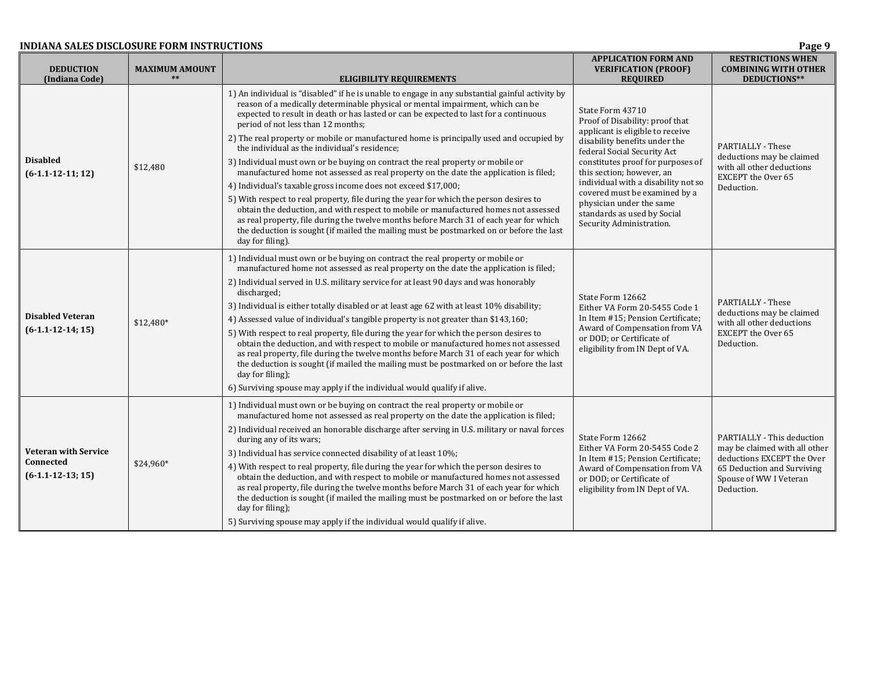| <b>DEDUCTION</b><br>(Indiana Code)                              | <b>MAXIMUM AMOUNT</b><br>$**$ | <b>ELIGIBILITY REQUIREMENTS</b>                                                                                                                                                                                                                                                                                                                                                                                                                                                                                                                                                                                                                                                                                                                                                                                                                                                                                                                                                                                                                                                                     | <b>APPLICATION FORM AND</b><br><b>VERIFICATION (PROOF)</b><br><b>REQUIRED</b>                                                                                                                                                                                                                                                                                                            | <b>RESTRICTIONS WHEN</b><br><b>COMBINING WITH OTHER</b><br>DEDUCTIONS**                                                                                         |
|-----------------------------------------------------------------|-------------------------------|-----------------------------------------------------------------------------------------------------------------------------------------------------------------------------------------------------------------------------------------------------------------------------------------------------------------------------------------------------------------------------------------------------------------------------------------------------------------------------------------------------------------------------------------------------------------------------------------------------------------------------------------------------------------------------------------------------------------------------------------------------------------------------------------------------------------------------------------------------------------------------------------------------------------------------------------------------------------------------------------------------------------------------------------------------------------------------------------------------|------------------------------------------------------------------------------------------------------------------------------------------------------------------------------------------------------------------------------------------------------------------------------------------------------------------------------------------------------------------------------------------|-----------------------------------------------------------------------------------------------------------------------------------------------------------------|
| <b>Disabled</b><br>$(6-1.1-12-11; 12)$                          | \$12,480                      | 1) An individual is "disabled" if he is unable to engage in any substantial gainful activity by<br>reason of a medically determinable physical or mental impairment, which can be<br>expected to result in death or has lasted or can be expected to last for a continuous<br>period of not less than 12 months;<br>2) The real property or mobile or manufactured home is principally used and occupied by<br>the individual as the individual's residence;<br>3) Individual must own or be buying on contract the real property or mobile or<br>manufactured home not assessed as real property on the date the application is filed;<br>4) Individual's taxable gross income does not exceed \$17,000;<br>5) With respect to real property, file during the year for which the person desires to<br>obtain the deduction, and with respect to mobile or manufactured homes not assessed<br>as real property, file during the twelve months before March 31 of each year for which<br>the deduction is sought (if mailed the mailing must be postmarked on or before the last<br>day for filing). | State Form 43710<br>Proof of Disability: proof that<br>applicant is eligible to receive<br>disability benefits under the<br>federal Social Security Act<br>constitutes proof for purposes of<br>this section; however, an<br>individual with a disability not so<br>covered must be examined by a<br>physician under the same<br>standards as used by Social<br>Security Administration. | <b>PARTIALLY - These</b><br>deductions may be claimed<br>with all other deductions<br><b>EXCEPT</b> the Over 65<br>Deduction.                                   |
| <b>Disabled Veteran</b><br>$(6-1.1-12-14; 15)$                  | $$12,480*$                    | 1) Individual must own or be buying on contract the real property or mobile or<br>manufactured home not assessed as real property on the date the application is filed;<br>2) Individual served in U.S. military service for at least 90 days and was honorably<br>discharged;<br>3) Individual is either totally disabled or at least age 62 with at least 10% disability;<br>4) Assessed value of individual's tangible property is not greater than \$143,160;<br>5) With respect to real property, file during the year for which the person desires to<br>obtain the deduction, and with respect to mobile or manufactured homes not assessed<br>as real property, file during the twelve months before March 31 of each year for which<br>the deduction is sought (if mailed the mailing must be postmarked on or before the last<br>day for filing);<br>6) Surviving spouse may apply if the individual would qualify if alive.                                                                                                                                                              | State Form 12662<br>Either VA Form 20-5455 Code 1<br>In Item #15; Pension Certificate;<br>Award of Compensation from VA<br>or DOD; or Certificate of<br>eligibility from IN Dept of VA.                                                                                                                                                                                                  | <b>PARTIALLY - These</b><br>deductions may be claimed<br>with all other deductions<br><b>EXCEPT</b> the Over 65<br>Deduction.                                   |
| <b>Veteran with Service</b><br>Connected<br>$(6-1.1-12-13; 15)$ | $$24,960*$                    | 1) Individual must own or be buying on contract the real property or mobile or<br>manufactured home not assessed as real property on the date the application is filed;<br>2) Individual received an honorable discharge after serving in U.S. military or naval forces<br>during any of its wars;<br>3) Individual has service connected disability of at least 10%;<br>4) With respect to real property, file during the year for which the person desires to<br>obtain the deduction, and with respect to mobile or manufactured homes not assessed<br>as real property, file during the twelve months before March 31 of each year for which<br>the deduction is sought (if mailed the mailing must be postmarked on or before the last<br>day for filing);<br>5) Surviving spouse may apply if the individual would qualify if alive.                                                                                                                                                                                                                                                          | State Form 12662<br>Either VA Form 20-5455 Code 2<br>In Item #15; Pension Certificate;<br>Award of Compensation from VA<br>or DOD; or Certificate of<br>eligibility from IN Dept of VA.                                                                                                                                                                                                  | PARTIALLY - This deduction<br>may be claimed with all other<br>deductions EXCEPT the Over<br>65 Deduction and Surviving<br>Spouse of WW I Veteran<br>Deduction. |

**9**